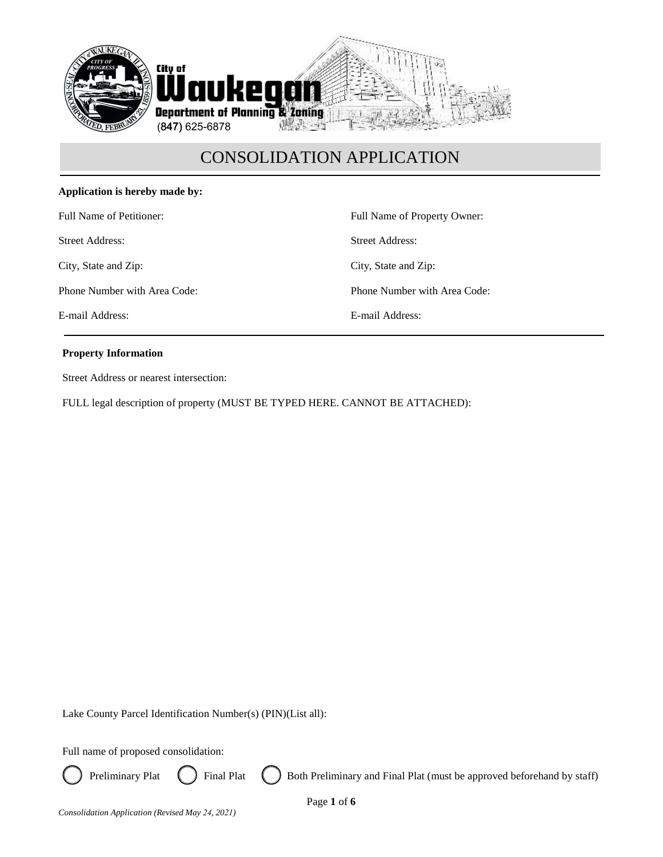

### **Application is hereby made by:**

Full Name of Petitioner:

Street Address:

City, State and Zip:

Phone Number with Area Code:

E-mail Address:

Full Name of Property Owner: Street Address: City, State and Zip: Phone Number with Area Code: E-mail Address:

### **Property Information**

Street Address or nearest intersection:

FULL legal description of property (MUST BE TYPED HERE. CANNOT BE ATTACHED):

Lake County Parcel Identification Number(s) (PIN)(List all):

Full name of proposed consolidation:



Preliminary Plat  $\left( \right)$  Final Plat  $\left( \right)$  Both Preliminary and Final Plat (must be approved beforehand by staff)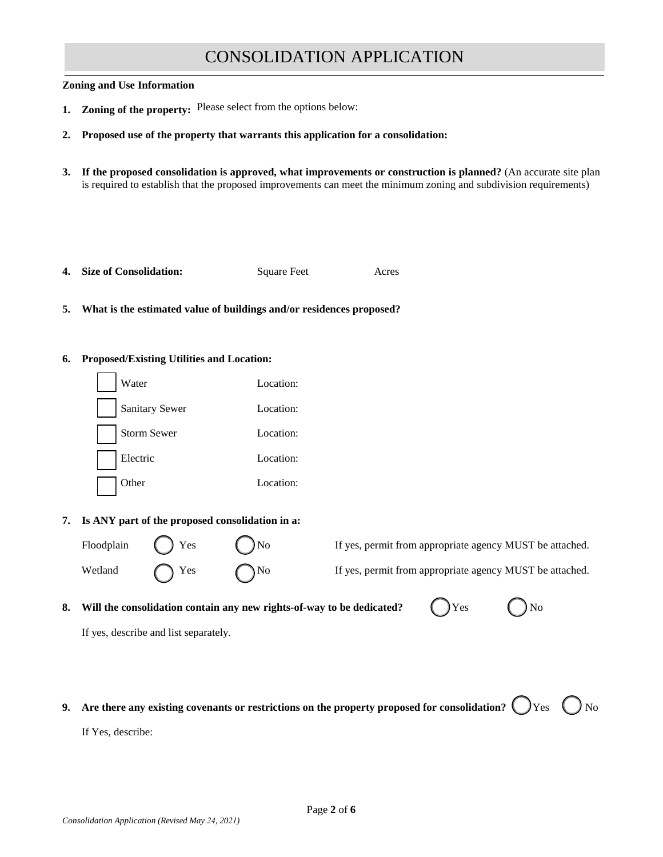#### **Zoning and Use Information**

- **1. Zoning of the property:** Please select from the options below:
- **2. Proposed use of the property that warrants this application for a consolidation:**
- **3. If the proposed consolidation is approved, what improvements or construction is planned?** (An accurate site plan is required to establish that the proposed improvements can meet the minimum zoning and subdivision requirements)

|  | 4. Size of Consolidation: | Square Feet | Acres |
|--|---------------------------|-------------|-------|
|--|---------------------------|-------------|-------|

**5. What is the estimated value of buildings and/or residences proposed?**

### **6. Proposed/Existing Utilities and Location:**



### **7. Is ANY part of the proposed consolidation in a:**

Floodplain () Yes () No If yes, permit from appropriate agency MUST be attached.

Wetland  $\bigcap$  Yes  $\bigcap$  No If yes, permit from appropriate agency MUST be attached.

## **8.** Will the consolidation contain any new rights-of-way to be dedicated?  $\bigcap Y$ es  $\bigcap N$ o

If yes, describe and list separately.

| Yes |  |
|-----|--|
|     |  |

**9.** Are there any existing covenants or restrictions on the property proposed for consolidation?  $\bigcirc$  Yes  $\bigcirc$  No

If Yes, describe: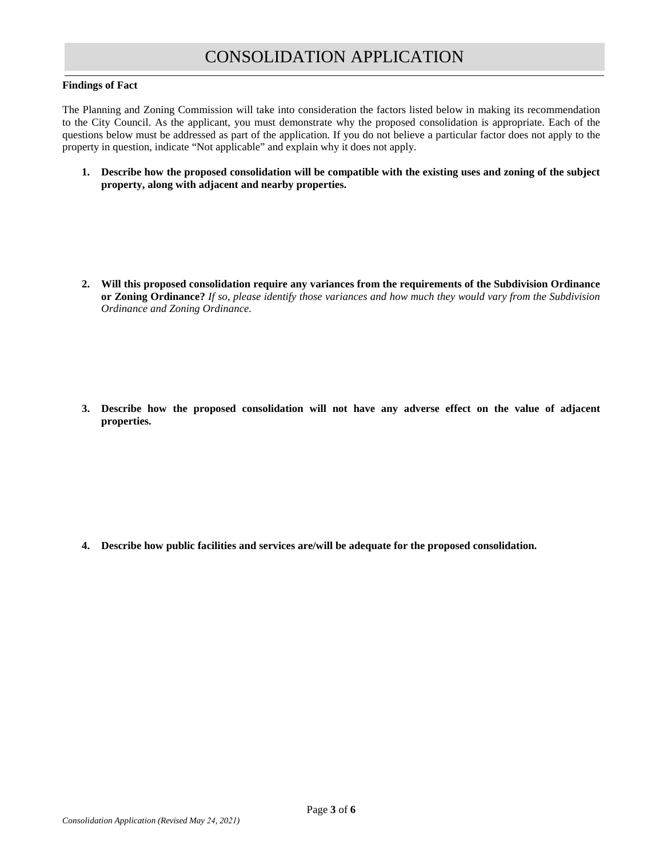### **Findings of Fact**

The Planning and Zoning Commission will take into consideration the factors listed below in making its recommendation to the City Council. As the applicant, you must demonstrate why the proposed consolidation is appropriate. Each of the questions below must be addressed as part of the application. If you do not believe a particular factor does not apply to the property in question, indicate "Not applicable" and explain why it does not apply.

**1. Describe how the proposed consolidation will be compatible with the existing uses and zoning of the subject property, along with adjacent and nearby properties.**

**2. Will this proposed consolidation require any variances from the requirements of the Subdivision Ordinance or Zoning Ordinance?** *If so, please identify those variances and how much they would vary from the Subdivision Ordinance and Zoning Ordinance.*

**3. Describe how the proposed consolidation will not have any adverse effect on the value of adjacent properties.**

**4. Describe how public facilities and services are/will be adequate for the proposed consolidation.**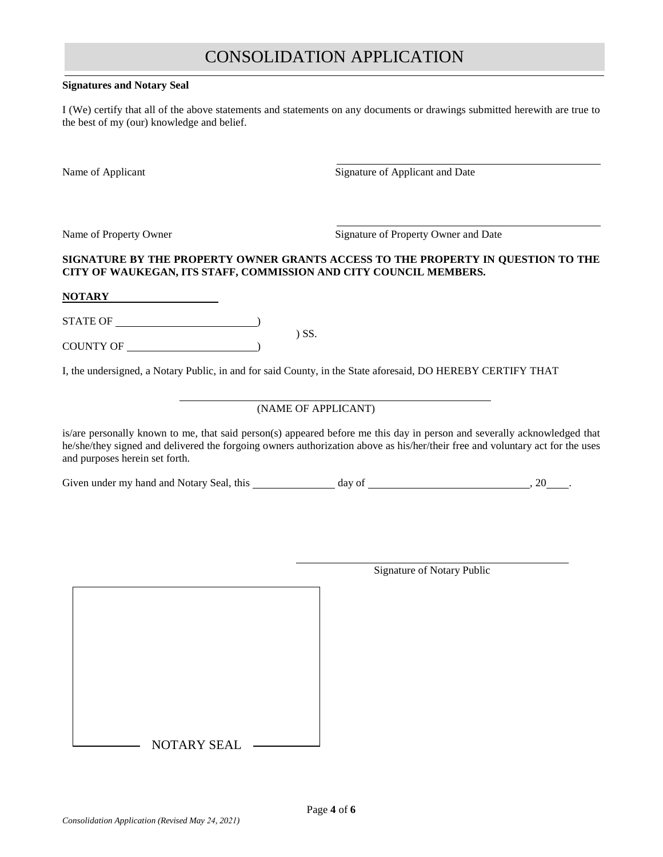#### **Signatures and Notary Seal**

I (We) certify that all of the above statements and statements on any documents or drawings submitted herewith are true to the best of my (our) knowledge and belief.

Name of Applicant Signature of Applicant and Date

Name of Property Owner Signature of Property Owner and Date

### **SIGNATURE BY THE PROPERTY OWNER GRANTS ACCESS TO THE PROPERTY IN QUESTION TO THE CITY OF WAUKEGAN, ITS STAFF, COMMISSION AND CITY COUNCIL MEMBERS.**

#### **NOTARY**

STATE OF )

COUNTY OF )

I, the undersigned, a Notary Public, in and for said County, in the State aforesaid, DO HEREBY CERTIFY THAT

) SS.

### (NAME OF APPLICANT)

is/are personally known to me, that said person(s) appeared before me this day in person and severally acknowledged that he/she/they signed and delivered the forgoing owners authorization above as his/her/their free and voluntary act for the uses and purposes herein set forth.

Given under my hand and Notary Seal, this day of , 20 .

 $-$  NOTARY SEAL  $-$ 

Signature of Notary Public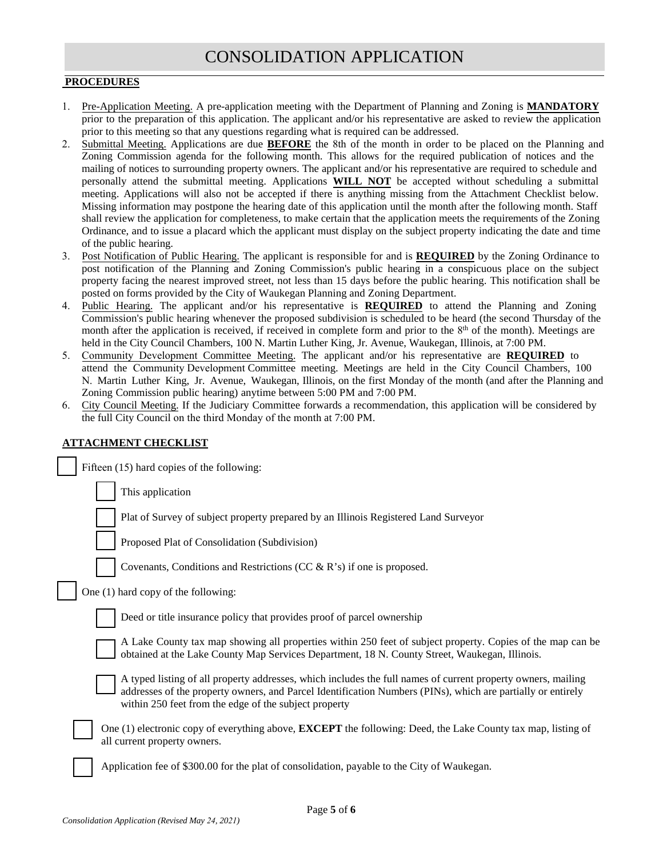### **PROCEDURES**

- 1. Pre-Application Meeting. A pre-application meeting with the Department of Planning and Zoning is **MANDATORY** prior to the preparation of this application. The applicant and/or his representative are asked to review the application prior to this meeting so that any questions regarding what is required can be addressed.
- 2. Submittal Meeting. Applications are due **BEFORE** the 8th of the month in order to be placed on the Planning and Zoning Commission agenda for the following month. This allows for the required publication of notices and the mailing of notices to surrounding property owners. The applicant and/or his representative are required to schedule and personally attend the submittal meeting. Applications **WILL NOT** be accepted without scheduling a submittal meeting. Applications will also not be accepted if there is anything missing from the Attachment Checklist below. Missing information may postpone the hearing date of this application until the month after the following month. Staff shall review the application for completeness, to make certain that the application meets the requirements of the Zoning Ordinance, and to issue a placard which the applicant must display on the subject property indicating the date and time of the public hearing.
- 3. Post Notification of Public Hearing. The applicant is responsible for and is **REQUIRED** by the Zoning Ordinance to post notification of the Planning and Zoning Commission's public hearing in a conspicuous place on the subject property facing the nearest improved street, not less than 15 days before the public hearing. This notification shall be posted on forms provided by the City of Waukegan Planning and Zoning Department.
- 4. Public Hearing. The applicant and/or his representative is **REQUIRED** to attend the Planning and Zoning Commission's public hearing whenever the proposed subdivision is scheduled to be heard (the second Thursday of the month after the application is received, if received in complete form and prior to the 8<sup>th</sup> of the month). Meetings are held in the City Council Chambers, 100 N. Martin Luther King, Jr. Avenue, Waukegan, Illinois, at 7:00 PM.
- 5. Community Development Committee Meeting. The applicant and/or his representative are **REQUIRED** to attend the Community Development Committee meeting. Meetings are held in the City Council Chambers, 100 N. Martin Luther King, Jr. Avenue, Waukegan, Illinois, on the first Monday of the month (and after the Planning and Zoning Commission public hearing) anytime between 5:00 PM and 7:00 PM.
- 6. City Council Meeting. If the Judiciary Committee forwards a recommendation, this application will be considered by the full City Council on the third Monday of the month at 7:00 PM.

### **ATTACHMENT CHECKLIST**

| Fifteen (15) hard copies of the following:                                                                                                                                                                                                                                           |
|--------------------------------------------------------------------------------------------------------------------------------------------------------------------------------------------------------------------------------------------------------------------------------------|
| This application                                                                                                                                                                                                                                                                     |
| Plat of Survey of subject property prepared by an Illinois Registered Land Surveyor                                                                                                                                                                                                  |
| Proposed Plat of Consolidation (Subdivision)                                                                                                                                                                                                                                         |
| Covenants, Conditions and Restrictions (CC & R's) if one is proposed.                                                                                                                                                                                                                |
| One (1) hard copy of the following:                                                                                                                                                                                                                                                  |
| Deed or title insurance policy that provides proof of parcel ownership                                                                                                                                                                                                               |
| A Lake County tax map showing all properties within 250 feet of subject property. Copies of the map can be<br>obtained at the Lake County Map Services Department, 18 N. County Street, Waukegan, Illinois.                                                                          |
| A typed listing of all property addresses, which includes the full names of current property owners, mailing<br>addresses of the property owners, and Parcel Identification Numbers (PINs), which are partially or entirely<br>within 250 feet from the edge of the subject property |
| One (1) electronic copy of everything above, <b>EXCEPT</b> the following: Deed, the Lake County tax map, listing of<br>all current property owners.                                                                                                                                  |
| Application fee of \$300.00 for the plat of consolidation, payable to the City of Waukegan.                                                                                                                                                                                          |